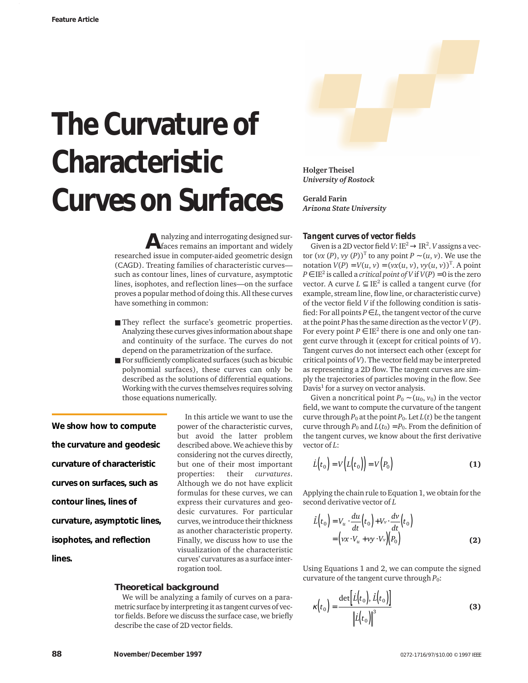# **The Curvature of Characteristic Curves on Surfaces**

**A**nalyzing and interrogating designed sur-faces remains an important and widely researched issue in computer-aided geometric design (CAGD). Treating families of characteristic curves such as contour lines, lines of curvature, asymptotic lines, isophotes, and reflection lines—on the surface proves a popular method of doing this. All these curves have something in common:

- They reflect the surface's geometric properties. Analyzing these curves gives information about shape and continuity of the surface. The curves do not depend on the parametrization of the surface.
- For sufficiently complicated surfaces (such as bicubic polynomial surfaces), these curves can only be described as the solutions of differential equations. Working with the curves themselves requires solving those equations numerically.

**We show how to compute the curvature and geodesic curvature of characteristic curves on surfaces, such as contour lines, lines of curvature, asymptotic lines, isophotes, and reflection lines.**

In this article we want to use the power of the characteristic curves, but avoid the latter problem described above. We achieve this by considering not the curves directly, but one of their most important<br>properties: their *curvatures*. properties: their *curvatures*. Although we do not have explicit formulas for these curves, we can express their curvatures and geodesic curvatures. For particular curves, we introduce their thickness as another characteristic property. Finally, we discuss how to use the visualization of the characteristic curves' curvatures as a surface interrogation tool.

# **Theoretical background**

We will be analyzing a family of curves on a parametric surface by interpreting it as tangent curves of vector fields. Before we discuss the surface case, we briefly describe the case of 2D vector fields.



**Holger Theisel** *University of Rostock*

**Gerald Farin** *Arizona State University*

#### *Tangent curves of vector fields*

Given is a 2D vector field  $V: I\to I\to I\mathbb{R}^2$ . *V* assigns a vector  $(vx(P), vy(P))^T$  to any point  $P \sim (u, v)$ . We use the notation  $V(P) = V(u, v) = (vx(u, v), vy(u, v))^T$ . A point *P*  $\in$  IE<sup>2</sup> is called a *critical point of V* if *V*(*P*) = 0 is the zero vector. A curve  $L \subseteq \mathbb{E}^2$  is called a tangent curve (for example, stream line, flow line, or characteristic curve) of the vector field *V* if the following condition is satisfied: For all points  $P \in L$ , the tangent vector of the curve at the point *P* has the same direction as the vector *V* (*P*). For every point  $P \in \mathbb{E}^2$  there is one and only one tangent curve through it (except for critical points of *V*). Tangent curves do not intersect each other (except for critical points of *V*). The vector field may be interpreted as representing a 2D flow. The tangent curves are simply the trajectories of particles moving in the flow. See Davis<sup>1</sup> for a survey on vector analysis.

Given a noncritical point  $P_0 \sim (u_0, v_0)$  in the vector field, we want to compute the curvature of the tangent curve through  $P_0$  at the point  $P_0$ . Let  $L(t)$  be the tangent curve through  $P_0$  and  $L(t_0) = P_0$ . From the definition of the tangent curves, we know about the first derivative vector of *L*:

$$
\dot{L}(t_0) = V(L(t_0)) = V(P_0)
$$
 (1)

Applying the chain rule to Equation 1, we obtain for the second derivative vector of *L*

$$
\begin{aligned} \tilde{L}\left(t_{0}\right) &= V_{u} \cdot \frac{du}{dt}\left(t_{0}\right) + V_{v} \cdot \frac{dv}{dt}\left(t_{0}\right) \\ &= \left(vx \cdot V_{u} + vy \cdot V_{v}\right)\left(P_{0}\right) \end{aligned} \tag{2}
$$

Using Equations 1 and 2, we can compute the signed curvature of the tangent curve through *P*0:

$$
\kappa(t_0) = \frac{\det\left[\dot{L}(t_0), \, \dot{L}(t_0)\right]}{\left\|\dot{L}(t_0)\right\|^3}
$$
(3)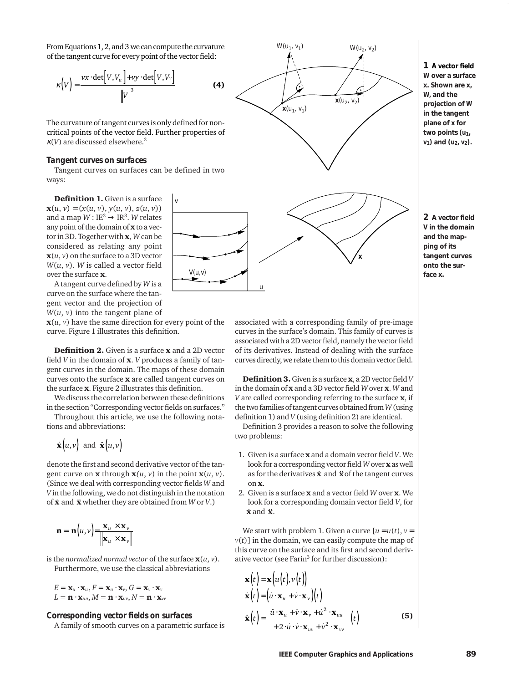From Equations 1, 2, and 3 we can compute the curvature of the tangent curve for every point of the vector field:

$$
\kappa\left(V\right) = \frac{\nu x \cdot \det\left[V, V_u\right] + \nu y \cdot \det\left[V, V_v\right]}{\left\|V\right\|^3}
$$

The curvature of tangent curves is only defined for noncritical points of the vector field. Further properties of  $\kappa$ (*V*) are discussed elsewhere.<sup>2</sup>

### *Tangent curves on surfaces*

Tangent curves on surfaces can be defined in two ways:

*v*

*V(u,v)*

**Definition 1.** Given is a surface  $$ and a map  $W: \mathbb{E}^2 \to \mathbb{R}^3$ . W relates any point of the domain of  $x$  to a vector in 3D. Together with x, *W* can be considered as relating any point  $\mathbf{x}(u, v)$  on the surface to a 3D vector *W*(*u*, *v*). *W* is called a vector field over the surface x.

A tangent curve defined by *W* is a curve on the surface where the tangent vector and the projection of  $W(u, v)$  into the tangent plane of

 $\mathbf{x}(u, v)$  have the same direction for every point of the curve. Figure 1 illustrates this definition.

Definition 2. Given is a surface x and a 2D vector field *V* in the domain of x. *V* produces a family of tangent curves in the domain. The maps of these domain curves onto the surface x are called tangent curves on the surface x. Figure 2 illustrates this definition.

We discuss the correlation between these definitions in the section "Corresponding vector fields on surfaces."

Throughout this article, we use the following notations and abbreviations:

$$
\dot{\mathbf{x}}(u,v)
$$
 and  $\dot{\mathbf{x}}(u,v)$ 

denote the first and second derivative vector of the tangent curve on **x** through  $\mathbf{x}(u, v)$  in the point  $\mathbf{x}(u, v)$ . (Since we deal with corresponding vector fields *W* and *V* in the following, we do not distinguish in the notation of **x** and **x** whether they are obtained from *W* or *V*.)

$$
\mathbf{n} = \mathbf{n}\left(u, v\right) = \frac{\mathbf{x}_u \times \mathbf{x}_v}{\|\mathbf{x}_u \times \mathbf{x}_v\|}
$$

is the *normalized normal vector* of the surface  $\mathbf{x}(u, v)$ . Furthermore, we use the classical abbreviations

 $E = \mathbf{x}_u \cdot \mathbf{x}_u, F = \mathbf{x}_u \cdot \mathbf{x}_v, G = \mathbf{x}_v \cdot \mathbf{x}_v$  $L = \mathbf{n} \cdot \mathbf{x}_{uu}, M = \mathbf{n} \cdot \mathbf{x}_{uv}, N = \mathbf{n} \cdot \mathbf{x}_{vv}$ 

*Corresponding vector fields on surfaces* A family of smooth curves on a parametric surface is



**1 A vector field** *W* **over a surface x. Shown are x,** *W,* **and the projection of** *W* **in the tangent plane of x for** two points  $(u_1,$ *v***1) and (***u***2,** *v***2).**



associated with a corresponding family of pre-image curves in the surface's domain. This family of curves is associated with a 2D vector field, namely the vector field of its derivatives. Instead of dealing with the surface curves directly, we relate them to this domain vector field.

*u*

**x**

Definition 3.Given is a surface x, a 2D vector field *V* in the domain of x and a 3D vector field *W* over x. *W* and *V* are called corresponding referring to the surface x, if the two families of tangent curves obtained from *W*(using definition 1) and *V* (using definition 2) are identical.

Definition 3 provides a reason to solve the following two problems:

- 1. Given is a surface x and a domain vector field *V*. We look for a corresponding vector field *W* over **x** as well as for the derivatives *x* and *x* of the tangent curves on x.
- 2. Given is a surface x and a vector field *W* over x. We look for a corresponding domain vector field *V*, for .  $\dot{\mathbf{x}}$  and  $\ddot{\mathbf{x}}$ .

We start with problem 1. Given a curve  $[u = u(t), v =$  $v(t)$ ] in the domain, we can easily compute the map of this curve on the surface and its first and second derivative vector (see Farin<sup>3</sup> for further discussion):

$$
\mathbf{x}(t) = \mathbf{x}(u(t), v(t))
$$
\n
$$
\dot{\mathbf{x}}(t) = (\dot{u} \cdot \mathbf{x}_u + \dot{v} \cdot \mathbf{x}_v)(t)
$$
\n
$$
\dot{\mathbf{x}}(t) = \begin{pmatrix} \ddot{u} \cdot \mathbf{x}_u + \ddot{v} \cdot \mathbf{x}_v + \dot{u}^2 \cdot \mathbf{x}_{uu} \\ +2 \cdot \dot{u} \cdot \dot{v} \cdot \mathbf{x}_{uv} + \dot{v}^2 \cdot \mathbf{x}_{vv} \end{pmatrix}(t)
$$
\n(5)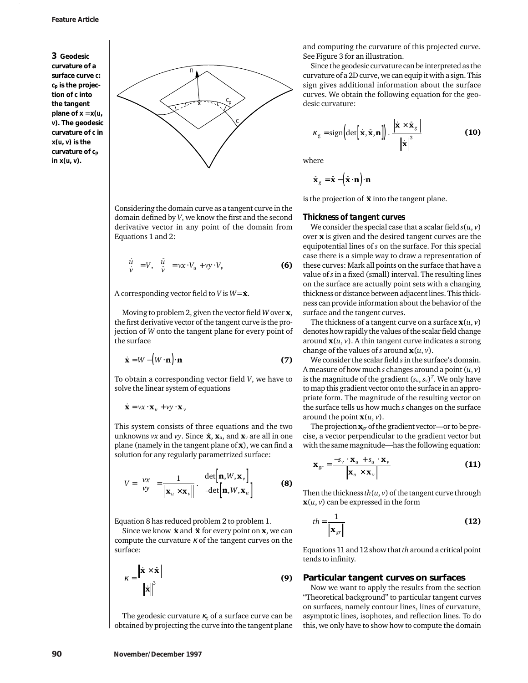**3 Geodesic curvature of a surface curve** *c***:** *cp* **is the projection of** *c* **into the tangent plane of**  $x = x(u)$ *v***). The geodesic curvature of** *c* **in x(***u***,** *v***) is the curvature of** *cp* **in x(***u***,** *v***).**



Considering the domain curve as a tangent curve in the domain defined by *V*, we know the first and the second derivative vector in any point of the domain from Equations 1 and 2:

$$
\begin{pmatrix} \dot{u} \\ \dot{v} \end{pmatrix} = V, \begin{pmatrix} \ddot{u} \\ \ddot{v} \end{pmatrix} = vx \cdot V_u + vy \cdot V_v \tag{6}
$$

A corresponding vector field to *V* is  $W = \dot{\mathbf{x}}$ .

Moving to problem 2, given the vector field *W* over x, the first derivative vector of the tangent curve is the projection of *W* onto the tangent plane for every point of the surface

$$
\dot{\mathbf{x}} = W - \left( W \cdot \mathbf{n} \right) \cdot \mathbf{n} \tag{7}
$$

To obtain a corresponding vector field *V*, we have to solve the linear system of equations

 $\dot{\mathbf{x}} = \nu x \cdot \mathbf{x}_u + \nu y \cdot \mathbf{x}_v$ 

This system consists of three equations and the two unknowns *vx* and *vy*. Since  $\dot{\mathbf{x}}, \mathbf{x}_u$ , and  $\mathbf{x}_v$  are all in one plane (namely in the tangent plane of  $x$ ), we can find a solution for any regularly parametrized surface:

$$
V = \begin{pmatrix} vx \\ vy \end{pmatrix} = \frac{1}{\|\mathbf{x}_u \times \mathbf{x}_v\|} \cdot \begin{pmatrix} \det[\mathbf{n}, W, \mathbf{x}_v] \\ -\det[\mathbf{n}, W, \mathbf{x}_u] \end{pmatrix}
$$
 (8)

Equation 8 has reduced problem 2 to problem 1.

since we know **x** and **x** for every point on **x**, we can compute the curvature  $\kappa$  of the tangent curves on the surface:

$$
\kappa = \frac{\left\| \dot{\mathbf{x}} \times \dot{\mathbf{x}} \right\|}{\left\| \dot{\mathbf{x}} \right\|^3}
$$

The geodesic curvature  $\kappa_g$  of a surface curve can be obtained by projecting the curve into the tangent plane and computing the curvature of this projected curve. See Figure 3 for an illustration.

Since the geodesic curvature can be interpreted as the curvature of a 2D curve, we can equip it with a sign. This sign gives additional information about the surface curves. We obtain the following equation for the geodesic curvature:

$$
\kappa_{g} = \text{sign}\left(\det\left[\dot{\mathbf{x}}, \ddot{\mathbf{x}}, \mathbf{n}\right]\right). \frac{\left\|\dot{\mathbf{x}} \times \ddot{\mathbf{x}}_{g}\right\|}{\left\|\dot{\mathbf{x}}\right\|^{3}}
$$
(10)

where

$$
\ddot{\mathbf{x}}_g = \ddot{\mathbf{x}} - (\dot{\mathbf{x}} \cdot \mathbf{n}) \cdot \mathbf{n}
$$

is the projection of  $\ddot{\textbf{x}}$  into the tangent plane.

#### *Thickness of tangent curves*

We consider the special case that a scalar field  $s(u, v)$ over x is given and the desired tangent curves are the equipotential lines of *s* on the surface. For this special case there is a simple way to draw a representation of these curves: Mark all points on the surface that have a value of *s*in a fixed (small) interval. The resulting lines on the surface are actually point sets with a changing thickness or distance between adjacent lines. This thickness can provide information about the behavior of the surface and the tangent curves.

The thickness of a tangent curve on a surface  $\mathbf{x}(u, v)$ denotes how rapidly the values of the scalar field change around  $\mathbf{x}(u, v)$ . A thin tangent curve indicates a strong change of the values of *s* around  $\mathbf{x}(u, v)$ .

We consider the scalar field *s*in the surface's domain. A measure of how much *s* changes around a point (*u*, *v*) is the magnitude of the gradient  $(s_u,s_v)^T.$  We only have to map this gradient vector onto the surface in an appropriate form. The magnitude of the resulting vector on the surface tells us how much *s* changes on the surface around the point  $\mathbf{x}(u, v)$ .

The projection x*gr* of the gradient vector—or to be precise, a vector perpendicular to the gradient vector but with the same magnitude—has the following equation:

$$
\mathbf{x}_{gr} = \frac{-s_v \cdot \mathbf{x}_u + s_u \cdot \mathbf{x}_v}{\left\| \mathbf{x}_u \times \mathbf{x}_v \right\|}
$$
(11)

Then the thickness  $th(u, v)$  of the tangent curve through  $\mathbf{x}(u, v)$  can be expressed in the form

$$
th = \frac{1}{\left\| \mathbf{x}_{gr} \right\|} \tag{12}
$$

Equations 11 and 12 show that *th* around a critical point tends to infinity.

#### (9) **Particular tangent curves on surfaces**

Now we want to apply the results from the section "Theoretical background" to particular tangent curves on surfaces, namely contour lines, lines of curvature, asymptotic lines, isophotes, and reflection lines. To do this, we only have to show how to compute the domain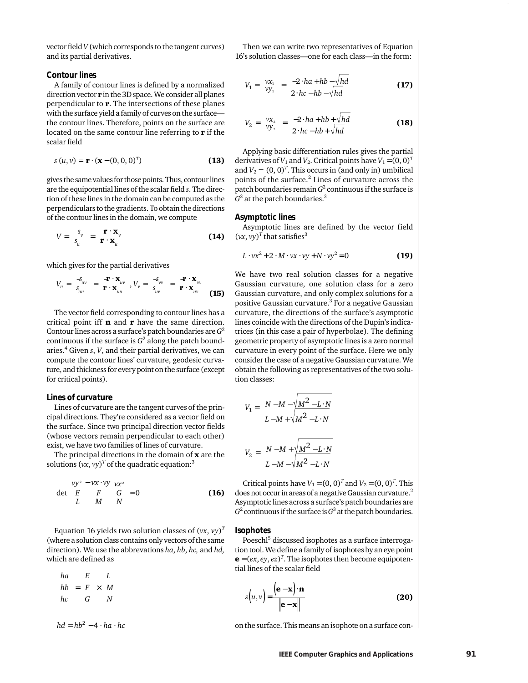vector field *V* (which corresponds to the tangent curves) and its partial derivatives.

#### *Contour lines*

A family of contour lines is defined by a normalized direction vector  $\mathbf r$  in the 3D space. We consider all planes perpendicular to **. The intersections of these planes** with the surface yield a family of curves on the surface the contour lines. Therefore, points on the surface are located on the same contour line referring to  $\mathbf r$  if the scalar field

$$
s(u, v) = \mathbf{r} \cdot (\mathbf{x} - (0, 0, 0)^T)
$$
 (13)

gives the same values for those points. Thus, contour lines are the equipotential lines of the scalar field *s*. The direction of these lines in the domain can be computed as the perpendiculars to the gradients. To obtain the directions of the contour lines in the domain, we compute

$$
V = \begin{pmatrix} -s_{v} \\ s_{u} \end{pmatrix} = \begin{pmatrix} -\mathbf{r} \cdot \mathbf{x}_{v} \\ \mathbf{r} \cdot \mathbf{x}_{u} \end{pmatrix}
$$
 (14)

which gives for the partial derivatives

$$
V_u = \begin{pmatrix} -\mathbf{s}_{uv} \\ \mathbf{s}_{uu} \end{pmatrix} = \begin{pmatrix} -\mathbf{r} \cdot \mathbf{x}_{uv} \\ \mathbf{r} \cdot \mathbf{x}_{uu} \end{pmatrix}, V_v = \begin{pmatrix} -\mathbf{s}_{vv} \\ \mathbf{s}_{uv} \end{pmatrix} = \begin{pmatrix} -\mathbf{r} \cdot \mathbf{x}_{vv} \\ \mathbf{r} \cdot \mathbf{x}_{uv} \end{pmatrix}
$$
(15)

The vector field corresponding to contour lines has a critical point iff  $\mathbf n$  and  $\mathbf r$  have the same direction. Contour lines across a surface's patch boundaries are *G*<sup>2</sup> continuous if the surface is  $G^2$  along the patch boundaries.4 Given *s*, *V*, and their partial derivatives, we can compute the contour lines' curvature, geodesic curvature, and thickness for every point on the surface (except for critical points).

#### *Lines of curvature*

Lines of curvature are the tangent curves of the principal directions. They're considered as a vector field on the surface. Since two principal direction vector fields (whose vectors remain perpendicular to each other) exist, we have two families of lines of curvature.

The principal directions in the domain of  $x$  are the solutions  $(vx, vy)^T$  of the quadratic equation:<sup>3</sup>

$$
\det \begin{bmatrix} vy^2 - vx \cdot vy & vx^2 \\ E & F & G \\ L & M & N \end{bmatrix} = 0
$$
 (16)

Equation 16 yields two solution classes of  $(vx, vy)^T$ (where a solution class contains only vectors of the same direction). We use the abbrevations *ha*, *hb*, *hc,* and *hd,* which are defined as

$$
\begin{pmatrix} ha \\ hb \\ hc \end{pmatrix} = \begin{pmatrix} E \\ F \\ G \end{pmatrix} \times \begin{pmatrix} L \\ M \\ N \end{pmatrix}
$$

 $hd = hb^2 - 4 \cdot ha \cdot hc$ 

Then we can write two representatives of Equation 16's solution classes—one for each class—in the form:

$$
V_1 = \begin{pmatrix} vx_1 \\ vy_1 \end{pmatrix} = \begin{pmatrix} -2 \cdot ha + hb - \sqrt{hd} \\ 2 \cdot hc - hb - \sqrt{hd} \end{pmatrix}
$$
 (17)

$$
V_2 = \begin{pmatrix} vx_2 \\ vy_2 \end{pmatrix} = \begin{pmatrix} -2 \cdot ha + hb + \sqrt{hd} \\ 2 \cdot hc - hb + \sqrt{hd} \end{pmatrix}
$$
 (18)

Applying basic differentiation rules gives the partial derivatives of  $V_1$  and  $V_2$ . Critical points have  $V_1 = (0, 0)^T$ and  $V_2 = (0, 0)^T$ . This occurs in (and only in) umbilical points of the surface.<sup>2</sup> Lines of curvature across the patch boundaries remain *G*<sup>2</sup> continuous if the surface is *G*<sup>3</sup> at the patch boundaries.3

#### *Asymptotic lines*

Asymptotic lines are defined by the vector field  $(vx, vy)<sup>T</sup>$  that satisfies<sup>3</sup>

$$
L \cdot vx^2 + 2 \cdot M \cdot vx \cdot vy + N \cdot vy^2 = 0
$$
 (19)

We have two real solution classes for a negative Gaussian curvature, one solution class for a zero Gaussian curvature, and only complex solutions for a positive Gaussian curvature.3 For a negative Gaussian curvature, the directions of the surface's asymptotic lines coincide with the directions of the Dupin's indicatrices (in this case a pair of hyperbolae). The defining geometric property of asymptotic lines is a zero normal curvature in every point of the surface. Here we only consider the case of a negative Gaussian curvature. We obtain the following as representatives of the two solution classes:

$$
V_1 = \left( \frac{N - M - \sqrt{M^2 - L \cdot N}}{L - M + \sqrt{M^2 - L \cdot N}} \right)
$$
  

$$
V_2 = \left( \frac{N - M + \sqrt{M^2 - L \cdot N}}{L - M - \sqrt{M^2 - L \cdot N}} \right)
$$

Critical points have  $V_1 = (0, 0)^T$  and  $V_2 = (0, 0)^T$ . This does not occur in areas of a negative Gaussian curvature.<sup>2</sup> Asymptotic lines across a surface's patch boundaries are  $G<sup>2</sup>$  continuous if the surface is  $G<sup>3</sup>$  at the patch boundaries.

#### *Isophotes*

Poeschl<sup>5</sup> discussed isophotes as a surface interrogation tool. We define a family of isophotes by an eye point  $\mathbf{e} = (ex, ey, ez)^T$ . The isophotes then become equipotential lines of the scalar field

$$
s(u,v) = \frac{(\mathbf{e} - \mathbf{x}) \cdot \mathbf{n}}{\|\mathbf{e} - \mathbf{x}\|}
$$
 (20)

on the surface. This means an isophote on a surface con-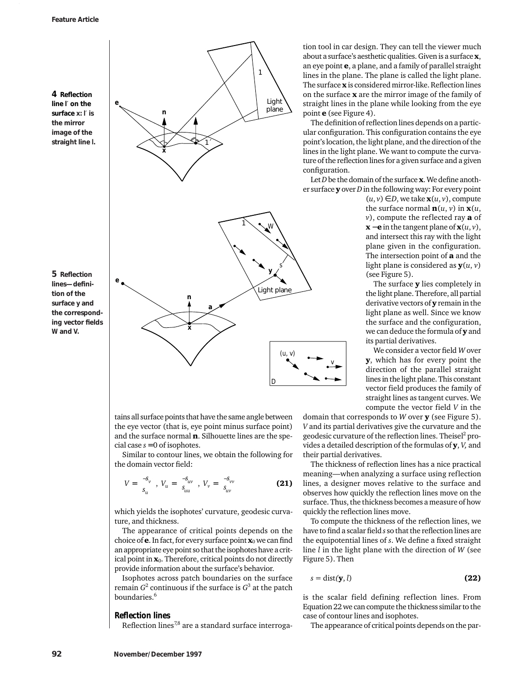**4 Reflection line** *l*′ **on the surface x:** *l*′ **is the mirror image of the straight line** *l***.**

**5 Reflection lines—definition of the surface y and the corresponding vector fields** *W* **and** *V.*



tains all surface points that have the same angle between the eye vector (that is, eye point minus surface point) and the surface normal  $\mathbf n$ . Silhouette lines are the special case  $s = 0$  of isophotes.

Similar to contour lines, we obtain the following for the domain vector field:

$$
V = \begin{pmatrix} -s_v \\ s_u \end{pmatrix}, V_u = \begin{pmatrix} -s_{uv} \\ s_{uu} \end{pmatrix}, V_v = \begin{pmatrix} -s_{vv} \\ s_{uv} \end{pmatrix}
$$
(21)

which yields the isophotes' curvature, geodesic curvature, and thickness.

The appearance of critical points depends on the choice of  $e$ . In fact, for every surface point  $x_0$  we can find an appropriate eye point so that the isophotes have a critical point in  $x_0$ . Therefore, critical points do not directly provide information about the surface's behavior.

Isophotes across patch boundaries on the surface remain  $G^2$  continuous if the surface is  $G^3$  at the patch boundaries.<sup>6</sup>

# *Reflection lines*

Reflection lines $^{7,8}$  are a standard surface interroga-

tion tool in car design. They can tell the viewer much about a surface's aesthetic qualities. Given is a surface x, an eye point e, a plane, and a family of parallel straight lines in the plane. The plane is called the light plane. The surface x is considered mirror-like. Reflection lines on the surface  $x$  are the mirror image of the family of straight lines in the plane while looking from the eye point **e** (see Figure 4).

The definition of reflection lines depends on a particular configuration. This configuration contains the eye point's location, the light plane, and the direction of the lines in the light plane. We want to compute the curvature of the reflection lines for a given surface and a given configuration.

Let *D* be the domain of the surface **x**. We define another surface y over *D*in the following way: For every point

> $(u, v) \in D$ , we take  $\mathbf{x}(u, v)$ , compute the surface normal  $\mathbf{n}(u, v)$  in  $\mathbf{x}(u, v)$ *v*), compute the reflected ray **a** of  $\mathbf{x} - \mathbf{e}$  in the tangent plane of  $\mathbf{x}(u, v)$ , and intersect this ray with the light plane given in the configuration. The intersection point of  $a$  and the light plane is considered as y(*u*, *v*) (see Figure 5).

> The surface **y** lies completely in the light plane. Therefore, all partial derivative vectors of  $\mathbf y$  remain in the light plane as well. Since we know the surface and the configuration, we can deduce the formula of **y** and its partial derivatives.

> We consider a vector field *W* over y, which has for every point the direction of the parallel straight lines in the light plane. This constant vector field produces the family of straight lines as tangent curves. We compute the vector field *V* in the

domain that corresponds to *W* over y (see Figure 5). *V* and its partial derivatives give the curvature and the geodesic curvature of the reflection lines. Theisel<sup>2</sup> provides a detailed description of the formulas of y, *V,* and their partial derivatives.

The thickness of reflection lines has a nice practical meaning—when analyzing a surface using reflection lines, a designer moves relative to the surface and observes how quickly the reflection lines move on the surface. Thus, the thickness becomes a measure of how quickly the reflection lines move.

To compute the thickness of the reflection lines, we have to find a scalar field *s* so that the reflection lines are the equipotential lines of *s*. We define a fixed straight line *l* in the light plane with the direction of *W* (see Figure 5). Then

$$
s = \text{dist}(\mathbf{y}, l) \tag{22}
$$

is the scalar field defining reflection lines. From Equation 22 we can compute the thickness similar to the case of contour lines and isophotes.

The appearance of critical points depends on the par-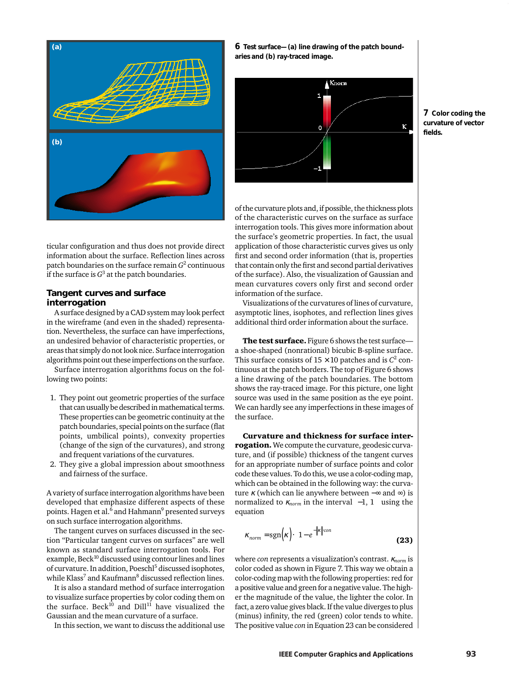

**6 Test surface—(a) line drawing of the patch boundaries and (b) ray-traced image.** 



**7 Color coding the curvature of vector fields.**

ticular configuration and thus does not provide direct information about the surface. Reflection lines across patch boundaries on the surface remain *G*<sup>2</sup> continuous if the surface is  $G^3$  at the patch boundaries.

# **Tangent curves and surface interrogation**

A surface designed by a CAD system may look perfect in the wireframe (and even in the shaded) representation. Nevertheless, the surface can have imperfections, an undesired behavior of characteristic properties, or areas that simply do not look nice. Surface interrogation algorithms point out these imperfections on the surface.

Surface interrogation algorithms focus on the following two points:

- 1. They point out geometric properties of the surface that can usually be described in mathematical terms. These properties can be geometric continuity at the patch boundaries, special points on the surface (flat points, umbilical points), convexity properties (change of the sign of the curvatures), and strong and frequent variations of the curvatures.
- 2. They give a global impression about smoothness and fairness of the surface.

A variety of surface interrogation algorithms have been developed that emphasize different aspects of these points. Hagen et al.<sup>6</sup> and Hahmann<sup>9</sup> presented surveys on such surface interrogation algorithms.

The tangent curves on surfaces discussed in the section "Particular tangent curves on surfaces" are well known as standard surface interrogation tools. For example, Beck $10$  discussed using contour lines and lines of curvature. In addition, Poesch<sup>15</sup> discussed isophotes, while Klass<sup>7</sup> and Kaufmann<sup>8</sup> discussed reflection lines.

It is also a standard method of surface interrogation to visualize surface properties by color coding them on the surface. Beck $^{10}$  and Dill $^{11}$  have visualized the Gaussian and the mean curvature of a surface.

In this section, we want to discuss the additional use

of the curvature plots and, if possible, the thickness plots of the characteristic curves on the surface as surface interrogation tools. This gives more information about the surface's geometric properties. In fact, the usual application of those characteristic curves gives us only first and second order information (that is, properties that contain only the first and second partial derivatives of the surface). Also, the visualization of Gaussian and mean curvatures covers only first and second order information of the surface.

Visualizations of the curvatures of lines of curvature, asymptotic lines, isophotes, and reflection lines gives additional third order information about the surface.

The test surface. Figure 6 shows the test surfacea shoe-shaped (nonrational) bicubic B-spline surface. This surface consists of  $15 \times 10$  patches and is  $C^2$  continuous at the patch borders. The top of Figure 6 shows a line drawing of the patch boundaries. The bottom shows the ray-traced image. For this picture, one light source was used in the same position as the eye point. We can hardly see any imperfections in these images of the surface.

Curvature and thickness for surface interrogation. We compute the curvature, geodesic curvature, and (if possible) thickness of the tangent curves for an appropriate number of surface points and color code these values. To do this, we use a color-coding map, which can be obtained in the following way: the curvature  $\kappa$  (which can lie anywhere between –∞ and ∞) is normalized to  $\kappa_{norm}$  in the interval  $\langle -1, 1 \rangle$  using the equation

$$
\kappa_{norm} = \text{sgn}(\kappa) \cdot \left(1 - e^{-\|\kappa\| \cdot \text{con}}\right)
$$
 (23)

where *con* represents a visualization's contrast. <sup>κ</sup>*norm* is color coded as shown in Figure 7. This way we obtain a color-coding map with the following properties: red for a positive value and green for a negative value. The higher the magnitude of the value, the lighter the color. In fact, a zero value gives black. If the value diverges to plus (minus) infinity, the red (green) color tends to white. The positive value *con* in Equation 23 can be considered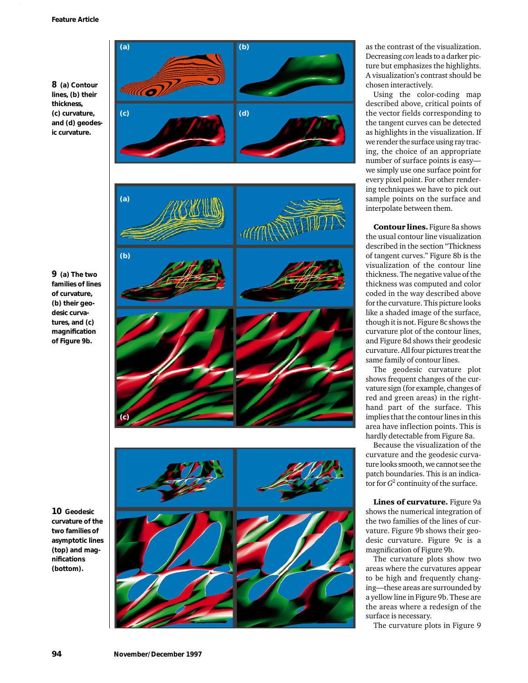**8 (a) Contour lines, (b) their thickness, (c) curvature, and (d) geodesic curvature.**



as the contrast of the visualization. Decreasing *con* leads to a darker picture but emphasizes the highlights. A visualization's contrast should be chosen interactively.

Using the color-coding map described above, critical points of the vector fields corresponding to the tangent curves can be detected as highlights in the visualization. If we render the surface using ray tracing, the choice of an appropriate number of surface points is easy we simply use one surface point for every pixel point. For other rendering techniques we have to pick out sample points on the surface and interpolate between them.

Contour lines. Figure 8a shows the usual contour line visualization described in the section "Thickness of tangent curves." Figure 8b is the visualization of the contour line thickness. The negative value of the thickness was computed and color coded in the way described above for the curvature. This picture looks like a shaded image of the surface, though it is not. Figure 8c shows the curvature plot of the contour lines, and Figure 8d shows their geodesic curvature. All four pictures treat the same family of contour lines.

The geodesic curvature plot shows frequent changes of the curvature sign (for example, changes of red and green areas) in the righthand part of the surface. This implies that the contour lines in this area have inflection points. This is hardly detectable from Figure 8a.

Because the visualization of the curvature and the geodesic curvature looks smooth, we cannot see the patch boundaries. This is an indicator for  $G^2$  continuity of the surface.

Lines of curvature. Figure 9a shows the numerical integration of the two families of the lines of curvature. Figure 9b shows their geodesic curvature. Figure 9c is a magnification of Figure 9b.

The curvature plots show two areas where the curvatures appear to be high and frequently changing—these areas are surrounded by a yellow line in Figure 9b. These are the areas where a redesign of the surface is necessary.

The curvature plots in Figure 9

**9 (a) The two families of lines of curvature, (b) their geodesic curvatures, and (c) magnification of Figure 9b.**

**10 Geodesic curvature of the two families of asymptotic lines (top) and magnifications (bottom).**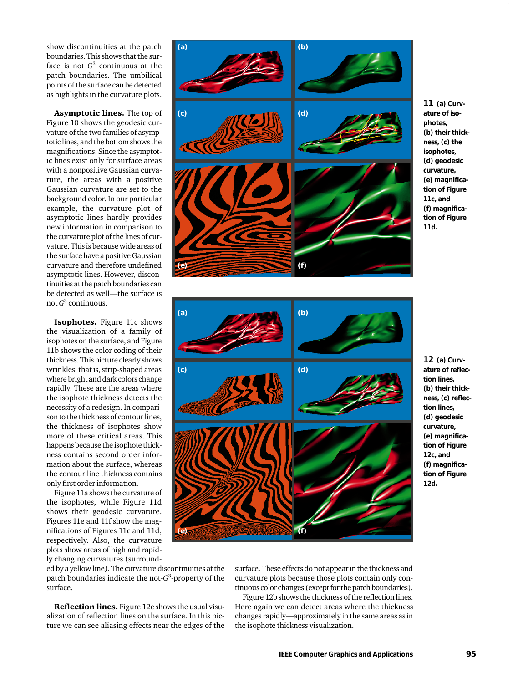show discontinuities at the patch boundaries. This shows that the surface is not  $G<sup>3</sup>$  continuous at the patch boundaries. The umbilical points of the surface can be detected as highlights in the curvature plots.

Asymptotic lines. The top of Figure 10 shows the geodesic curvature of the two families of asymptotic lines, and the bottom shows the magnifications. Since the asymptotic lines exist only for surface areas with a nonpositive Gaussian curvature, the areas with a positive Gaussian curvature are set to the background color. In our particular example, the curvature plot of asymptotic lines hardly provides new information in comparison to the curvature plot of the lines of curvature. This is because wide areas of the surface have a positive Gaussian curvature and therefore undefined asymptotic lines. However, discontinuities at the patch boundaries can be detected as well—the surface is not *G*<sup>3</sup> continuous.

Isophotes. Figure 11c shows the visualization of a family of isophotes on the surface, and Figure 11b shows the color coding of their thickness. This picture clearly shows wrinkles, that is, strip-shaped areas where bright and dark colors change rapidly. These are the areas where the isophote thickness detects the necessity of a redesign. In comparison to the thickness of contour lines, the thickness of isophotes show more of these critical areas. This happens because the isophote thickness contains second order information about the surface, whereas the contour line thickness contains only first order information.

Figure 11a shows the curvature of the isophotes, while Figure 11d shows their geodesic curvature. Figures 11e and 11f show the magnifications of Figures 11c and 11d, respectively. Also, the curvature plots show areas of high and rapidly changing curvatures (surround-

ed by a yellow line). The curvature discontinuities at the patch boundaries indicate the not-*G*<sup>3</sup> -property of the surface.

Reflection lines. Figure 12c shows the usual visualization of reflection lines on the surface. In this picture we can see aliasing effects near the edges of the



**<sup>11</sup> (a) Curvature of isophotes, (b) their thickness, (c) the isophotes, (d) geodesic curvature, (e) magnification of Figure 11c, and (f) magnification of Figure 11d.**



**12 (a) Curvature of reflection lines, (b) their thickness, (c) reflection lines, (d) geodesic curvature, (e) magnification of Figure 12c, and (f) magnification of Figure 12d.**

surface. These effects do not appear in the thickness and curvature plots because those plots contain only continuous color changes (except for the patch boundaries). Figure 12b shows the thickness of the reflection lines.

Here again we can detect areas where the thickness changes rapidly—approximately in the same areas as in the isophote thickness visualization.